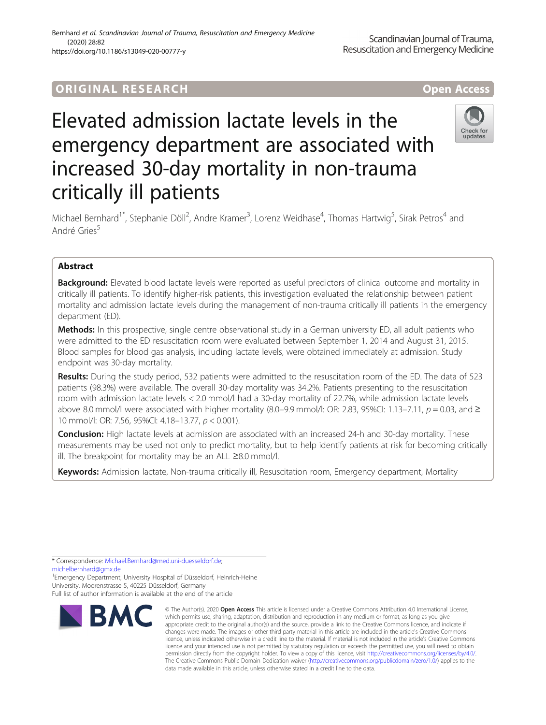# **ORIGINAL RESEARCH And Access** open Access

# Elevated admission lactate levels in the emergency department are associated with increased 30-day mortality in non-trauma critically ill patients



Michael Bernhard<sup>1\*</sup>, Stephanie Döll<sup>2</sup>, Andre Kramer<sup>3</sup>, Lorenz Weidhase<sup>4</sup>, Thomas Hartwig<sup>5</sup>, Sirak Petros<sup>4</sup> and André Gries<sup>5</sup>

# Abstract

**Background:** Elevated blood lactate levels were reported as useful predictors of clinical outcome and mortality in critically ill patients. To identify higher-risk patients, this investigation evaluated the relationship between patient mortality and admission lactate levels during the management of non-trauma critically ill patients in the emergency department (ED).

Methods: In this prospective, single centre observational study in a German university ED, all adult patients who were admitted to the ED resuscitation room were evaluated between September 1, 2014 and August 31, 2015. Blood samples for blood gas analysis, including lactate levels, were obtained immediately at admission. Study endpoint was 30-day mortality.

Results: During the study period, 532 patients were admitted to the resuscitation room of the ED. The data of 523 patients (98.3%) were available. The overall 30-day mortality was 34.2%. Patients presenting to the resuscitation room with admission lactate levels < 2.0 mmol/l had a 30-day mortality of 22.7%, while admission lactate levels above 8.0 mmol/l were associated with higher mortality (8.0–9.9 mmol/l: OR: 2.83, 95%CI: 1.13–7.11,  $p = 0.03$ , and  $\ge$ 10 mmol/l: OR: 7.56, 95%CI: 4.18–13.77, p < 0.001).

Conclusion: High lactate levels at admission are associated with an increased 24-h and 30-day mortality. These measurements may be used not only to predict mortality, but to help identify patients at risk for becoming critically ill. The breakpoint for mortality may be an ALL ≥8.0 mmol/l.

Keywords: Admission lactate, Non-trauma critically ill, Resuscitation room, Emergency department, Mortality

\* Correspondence: [Michael.Bernhard@med.uni-duesseldorf.de](mailto:Michael.Bernhard@med.uni-duesseldorf.de);

[michelbernhard@gmx.de](mailto:michelbernhard@gmx.de)

<sup>1</sup> Emergency Department, University Hospital of Düsseldorf, Heinrich-Heine University, Moorenstrasse 5, 40225 Düsseldorf, Germany

Full list of author information is available at the end of the article



<sup>©</sup> The Author(s), 2020 **Open Access** This article is licensed under a Creative Commons Attribution 4.0 International License, which permits use, sharing, adaptation, distribution and reproduction in any medium or format, as long as you give appropriate credit to the original author(s) and the source, provide a link to the Creative Commons licence, and indicate if changes were made. The images or other third party material in this article are included in the article's Creative Commons licence, unless indicated otherwise in a credit line to the material. If material is not included in the article's Creative Commons licence and your intended use is not permitted by statutory regulation or exceeds the permitted use, you will need to obtain permission directly from the copyright holder. To view a copy of this licence, visit [http://creativecommons.org/licenses/by/4.0/.](http://creativecommons.org/licenses/by/4.0/) The Creative Commons Public Domain Dedication waiver [\(http://creativecommons.org/publicdomain/zero/1.0/](http://creativecommons.org/publicdomain/zero/1.0/)) applies to the data made available in this article, unless otherwise stated in a credit line to the data.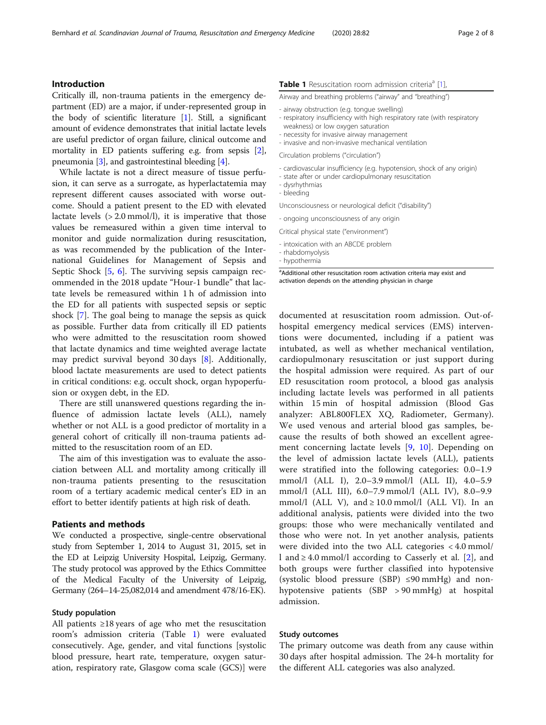# Introduction

Critically ill, non-trauma patients in the emergency department (ED) are a major, if under-represented group in the body of scientific literature  $[1]$  $[1]$ . Still, a significant amount of evidence demonstrates that initial lactate levels are useful predictor of organ failure, clinical outcome and mortality in ED patients suffering e.g. from sepsis [[2](#page-7-0)], pneumonia [[3](#page-7-0)], and gastrointestinal bleeding [\[4](#page-7-0)].

While lactate is not a direct measure of tissue perfusion, it can serve as a surrogate, as hyperlactatemia may represent different causes associated with worse outcome. Should a patient present to the ED with elevated lactate levels  $(> 2.0 \text{ mmol/l})$ , it is imperative that those values be remeasured within a given time interval to monitor and guide normalization during resuscitation, as was recommended by the publication of the International Guidelines for Management of Sepsis and Septic Shock [\[5](#page-7-0), [6](#page-7-0)]. The surviving sepsis campaign recommended in the 2018 update "Hour-1 bundle" that lactate levels be remeasured within 1 h of admission into the ED for all patients with suspected sepsis or septic shock [[7\]](#page-7-0). The goal being to manage the sepsis as quick as possible. Further data from critically ill ED patients who were admitted to the resuscitation room showed that lactate dynamics and time weighted average lactate may predict survival beyond 30 days [[8\]](#page-7-0). Additionally, blood lactate measurements are used to detect patients in critical conditions: e.g. occult shock, organ hypoperfusion or oxygen debt, in the ED.

There are still unanswered questions regarding the influence of admission lactate levels (ALL), namely whether or not ALL is a good predictor of mortality in a general cohort of critically ill non-trauma patients admitted to the resuscitation room of an ED.

The aim of this investigation was to evaluate the association between ALL and mortality among critically ill non-trauma patients presenting to the resuscitation room of a tertiary academic medical center's ED in an effort to better identify patients at high risk of death.

# Patients and methods

We conducted a prospective, single-centre observational study from September 1, 2014 to August 31, 2015, set in the ED at Leipzig University Hospital, Leipzig, Germany. The study protocol was approved by the Ethics Committee of the Medical Faculty of the University of Leipzig, Germany (264–14-25,082,014 and amendment 478/16-EK).

#### Study population

All patients  $\geq$ 18 years of age who met the resuscitation room's admission criteria (Table 1) were evaluated consecutively. Age, gender, and vital functions [systolic blood pressure, heart rate, temperature, oxygen saturation, respiratory rate, Glasgow coma scale (GCS)] were

#### Table 1 Resuscitation room admission criteria<sup>a</sup> [[1\]](#page-7-0),

Airway and breathing problems ("airway" and "breathing")

- airway obstruction (e.g. tongue swelling)
- respiratory insufficiency with high respiratory rate (with respiratory weakness) or low oxygen saturation
- necessity for invasive airway management
- invasive and non-invasive mechanical ventilation

Circulation problems ("circulation")

- cardiovascular insufficiency (e.g. hypotension, shock of any origin)
- state after or under cardiopulmonary resuscitation
- dysrhythmias
- bleeding

Unconsciousness or neurological deficit ("disability")

- ongoing unconsciousness of any origin
- Critical physical state ("environment")
- intoxication with an ABCDE problem
- rhabdomyolysis
- hypothermia

<sup>a</sup>Additional other resuscitation room activation criteria may exist and activation depends on the attending physician in charge

documented at resuscitation room admission. Out-ofhospital emergency medical services (EMS) interventions were documented, including if a patient was intubated, as well as whether mechanical ventilation, cardiopulmonary resuscitation or just support during the hospital admission were required. As part of our ED resuscitation room protocol, a blood gas analysis including lactate levels was performed in all patients within 15 min of hospital admission (Blood Gas analyzer: ABL800FLEX XQ, Radiometer, Germany). We used venous and arterial blood gas samples, because the results of both showed an excellent agreement concerning lactate levels [\[9](#page-7-0), [10](#page-7-0)]. Depending on the level of admission lactate levels (ALL), patients were stratified into the following categories: 0.0–1.9 mmol/l (ALL I), 2.0–3.9 mmol/l (ALL II), 4.0–5.9 mmol/l (ALL III), 6.0–7.9 mmol/l (ALL IV), 8.0–9.9 mmol/l (ALL V), and  $\geq 10.0$  mmol/l (ALL VI). In an additional analysis, patients were divided into the two groups: those who were mechanically ventilated and those who were not. In yet another analysis, patients were divided into the two ALL categories < 4.0 mmol/ l and  $\geq 4.0$  mmol/l according to Casserly et al. [[2\]](#page-7-0), and both groups were further classified into hypotensive (systolic blood pressure (SBP) ≤90 mmHg) and nonhypotensive patients (SBP > 90 mmHg) at hospital admission.

# Study outcomes

The primary outcome was death from any cause within 30 days after hospital admission. The 24-h mortality for the different ALL categories was also analyzed.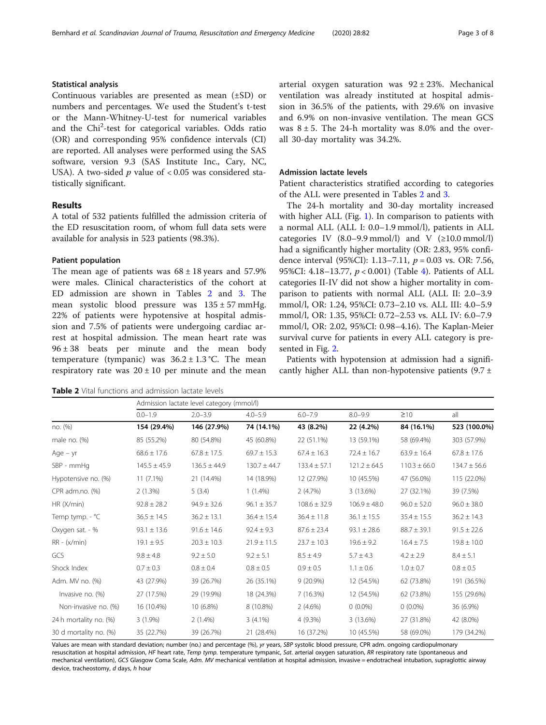# Statistical analysis

Continuous variables are presented as mean (±SD) or numbers and percentages. We used the Student's t-test or the Mann-Whitney-U-test for numerical variables and the Chi<sup>2</sup>-test for categorical variables. Odds ratio (OR) and corresponding 95% confidence intervals (CI) are reported. All analyses were performed using the SAS software, version 9.3 (SAS Institute Inc., Cary, NC, USA). A two-sided  $p$  value of  $< 0.05$  was considered statistically significant.

# Results

A total of 532 patients fulfilled the admission criteria of the ED resuscitation room, of whom full data sets were available for analysis in 523 patients (98.3%).

#### Patient population

The mean age of patients was  $68 \pm 18$  years and 57.9% were males. Clinical characteristics of the cohort at ED admission are shown in Tables 2 and [3](#page-3-0). The mean systolic blood pressure was  $135 \pm 57$  mmHg. 22% of patients were hypotensive at hospital admission and 7.5% of patients were undergoing cardiac arrest at hospital admission. The mean heart rate was  $96 \pm 38$  beats per minute and the mean body temperature (tympanic) was  $36.2 \pm 1.3$  °C. The mean respiratory rate was  $20 \pm 10$  per minute and the mean

Admission lactate level category (mmol/l)

arterial oxygen saturation was  $92 \pm 23$ %. Mechanical ventilation was already instituted at hospital admission in 36.5% of the patients, with 29.6% on invasive and 6.9% on non-invasive ventilation. The mean GCS was  $8 \pm 5$ . The 24-h mortality was 8.0% and the overall 30-day mortality was 34.2%.

#### Admission lactate levels

Patient characteristics stratified according to categories of the ALL were presented in Tables 2 and [3.](#page-3-0)

The 24-h mortality and 30-day mortality increased with higher ALL (Fig. [1](#page-4-0)). In comparison to patients with a normal ALL (ALL I: 0.0–1.9 mmol/l), patients in ALL categories IV  $(8.0-9.9 \text{ mmol/l})$  and V  $( \geq 10.0 \text{ mmol/l})$ had a significantly higher mortality (OR: 2.83, 95% confidence interval (95%CI): 1.13–7.11,  $p = 0.03$  vs. OR: 7.56, 95%CI: 4.18–13.77, p < 0.001) (Table [4](#page-4-0)). Patients of ALL categories II-IV did not show a higher mortality in comparison to patients with normal ALL (ALL II: 2.0–3.9 mmol/l, OR: 1.24, 95%CI: 0.73–2.10 vs. ALL III: 4.0–5.9 mmol/l, OR: 1.35, 95%CI: 0.72–2.53 vs. ALL IV: 6.0–7.9 mmol/l, OR: 2.02, 95%CI: 0.98–4.16). The Kaplan-Meier survival curve for patients in every ALL category is presented in Fig. [2](#page-5-0).

Patients with hypotension at admission had a significantly higher ALL than non-hypotensive patients  $(9.7 \pm$ 

Table 2 Vital functions and admission lactate levels

| no. (%)                                                                                                                                         | 154 (29.4%)      | 146 (27.9%)      | 74 (14.1%)       | 43 (8.2%)        | 22 (4.2%)        | 84 (16.1%)       | 523 (100.0%)     |
|-------------------------------------------------------------------------------------------------------------------------------------------------|------------------|------------------|------------------|------------------|------------------|------------------|------------------|
| male no. $(\%)$                                                                                                                                 | 85 (55.2%)       | 80 (54.8%)       | 45 (60.8%)       | 22 (51.1%)       | 13 (59.1%)       | 58 (69.4%)       | 303 (57.9%)      |
| Age $-yr$                                                                                                                                       | $68.6 \pm 17.6$  | $67.8 \pm 17.5$  | $69.7 \pm 15.3$  | $67.4 \pm 16.3$  | $72.4 \pm 16.7$  | $63.9 \pm 16.4$  | $67.8 \pm 17.6$  |
| SBP - mmHq                                                                                                                                      | $145.5 \pm 45.9$ | $136.5 \pm 44.9$ | $130.7 \pm 44.7$ | $133.4 \pm 57.1$ | $121.2 \pm 64.5$ | $110.3 \pm 66.0$ | $134.7 \pm 56.6$ |
| Hypotensive no. (%)                                                                                                                             | $11(7.1\%)$      | 21 (14.4%)       | 14 (18.9%)       | 12 (27.9%)       | 10 (45.5%)       | 47 (56.0%)       | 115 (22.0%)      |
| CPR adm.no. (%)                                                                                                                                 | 2(1.3%)          | 5(3.4)           | $1(1.4\%)$       | 2(4.7%)          | 3(13.6%)         | 27 (32.1%)       | 39 (7.5%)        |
| HR(X/min)                                                                                                                                       | $92.8 \pm 28.2$  | $94.9 \pm 32.6$  | $96.1 \pm 35.7$  | $108.6 \pm 32.9$ | $106.9 \pm 48.0$ | $96.0 \pm 52.0$  | $96.0 \pm 38.0$  |
| Temp tymp. $-\degree$ C                                                                                                                         | $36.5 \pm 14.5$  | $36.2 \pm 13.1$  | $36.4 \pm 15.4$  | $36.4 \pm 11.8$  | $36.1 \pm 15.5$  | $35.4 \pm 15.5$  | $36.2 \pm 14.3$  |
| Oxygen sat. - %                                                                                                                                 | $93.1 \pm 13.6$  | $91.6 \pm 14.6$  | $92.4 \pm 9.3$   | $87.6 \pm 23.4$  | $93.1 \pm 28.6$  | $88.7 \pm 39.1$  | $91.5 \pm 22.6$  |
| $RR - (x/min)$                                                                                                                                  | $19.1 \pm 9.5$   | $20.3 \pm 10.3$  | $21.9 \pm 11.5$  | $23.7 \pm 10.3$  | $19.6 \pm 9.2$   | $16.4 \pm 7.5$   | $19.8 \pm 10.0$  |
| GCS                                                                                                                                             | $9.8 \pm 4.8$    | $9.2 \pm 5.0$    | $9.2 \pm 5.1$    | $8.5 \pm 4.9$    | $5.7 \pm 4.3$    | $4.2 \pm 2.9$    | $8.4 \pm 5.1$    |
| Shock Index                                                                                                                                     | $0.7 \pm 0.3$    | $0.8 \pm 0.4$    | $0.8 \pm 0.5$    | $0.9 \pm 0.5$    | $1.1 \pm 0.6$    | $1.0 \pm 0.7$    | $0.8 \pm 0.5$    |
| Adm. MV no. (%)                                                                                                                                 | 43 (27.9%)       | 39 (26.7%)       | 26 (35.1%)       | $9(20.9\%)$      | 12 (54.5%)       | 62 (73.8%)       | 191 (36.5%)      |
| Invasive no. (%)                                                                                                                                | 27 (17.5%)       | 29 (19.9%)       | 18 (24.3%)       | 7(16.3%)         | 12 (54.5%)       | 62 (73.8%)       | 155 (29.6%)      |
| Non-invasive no. (%)                                                                                                                            | 16 (10.4%)       | 10 (6.8%)        | 8 (10.8%)        | $2(4.6\%)$       | $0(0.0\%)$       | $0(0.0\%)$       | 36 (6.9%)        |
| 24 h mortality no. (%)                                                                                                                          | $3(1.9\%)$       | $2(1.4\%)$       | $3(4.1\%)$       | $4(9.3\%)$       | 3 (13.6%)        | 27 (31.8%)       | 42 (8.0%)        |
| 30 d mortality no. (%)                                                                                                                          | 35 (22.7%)       | 39 (26.7%)       | 21 (28.4%)       | 16 (37.2%)       | 10 (45.5%)       | 58 (69.0%)       | 179 (34.2%)      |
| Values are mean with standard deviation: number (no) and nersentage (%) wryears. SRD systolic blood pressure. CDR adm, opgoing cardiopulmonary. |                  |                  |                  |                  |                  |                  |                  |

0.0–1.9 2.0–3.9 4.0–5.9 6.0–7.9 8.0–9.9 ≥10 all

are mean with standard deviation; number (no.) and percentage (%), yr years, SBP systolic blood pressure, CPR adm. ongoing cardiopulmonary resuscitation at hospital admission, HF heart rate, Temp tymp. temperature tympanic, Sat. arterial oxygen saturation, RR respiratory rate (spontaneous and mechanical ventilation), GCS Glasgow Coma Scale, Adm. MV mechanical ventilation at hospital admission, invasive = endotracheal intubation, supraglottic airway device, tracheostomy, d days, h hour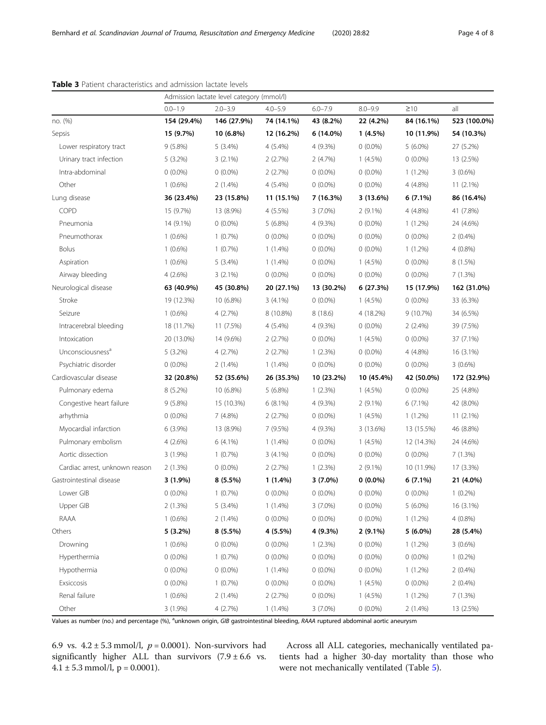|                                | Admission lactate level category (mmol/l) |             |             |             |             |            |              |  |  |  |
|--------------------------------|-------------------------------------------|-------------|-------------|-------------|-------------|------------|--------------|--|--|--|
|                                | $0.0 - 1.9$                               | $2.0 - 3.9$ | $4.0 - 5.9$ | $6.0 - 7.9$ | $8.0 - 9.9$ | $\geq 10$  | all          |  |  |  |
| no. (%)                        | 154 (29.4%)                               | 146 (27.9%) | 74 (14.1%)  | 43 (8.2%)   | 22 (4.2%)   | 84 (16.1%) | 523 (100.0%) |  |  |  |
| Sepsis                         | 15 (9.7%)                                 | 10 (6.8%)   | 12 (16.2%)  | 6 (14.0%)   | 1(4.5%)     | 10 (11.9%) | 54 (10.3%)   |  |  |  |
| Lower respiratory tract        | 9(5.8%)                                   | $5(3.4\%)$  | $4(5.4\%)$  | 4 (9.3%)    | $0(0.0\%)$  | $5(6.0\%)$ | 27 (5.2%)    |  |  |  |
| Urinary tract infection        | $5(3.2\%)$                                | $3(2.1\%)$  | 2(2.7%)     | 2(4.7%)     | $1(4.5\%)$  | $0(0.0\%)$ | 13 (2.5%)    |  |  |  |
| Intra-abdominal                | $0(0.0\%)$                                | $0(0.0\%)$  | 2(2.7%)     | $0(0.0\%)$  | $0(0.0\%)$  | $1(1.2\%)$ | $3(0.6\%)$   |  |  |  |
| Other                          | $1(0.6\%)$                                | $2(1.4\%)$  | $4(5.4\%)$  | $0(0.0\%)$  | $0(0.0\%)$  | $4(4.8\%)$ | $11(2.1\%)$  |  |  |  |
| Lung disease                   | 36 (23.4%)                                | 23 (15.8%)  | 11 (15.1%)  | 7(16.3%)    | 3 (13.6%)   | $6(7.1\%)$ | 86 (16.4%)   |  |  |  |
| COPD                           | 15 (9.7%)                                 | 13 (8.9%)   | 4 (5.5%)    | $3(7.0\%)$  | $2(9.1\%)$  | $4(4.8\%)$ | 41 (7.8%)    |  |  |  |
| Pneumonia                      | 14 (9.1%)                                 | $0(0.0\%)$  | 5(6.8%)     | 4 (9.3%)    | $0(0.0\%)$  | $1(1.2\%)$ | 24 (4.6%)    |  |  |  |
| Pneumothorax                   | $1(0.6\%)$                                | 1(0.7%)     | $0(0.0\%)$  | $0(0.0\%)$  | $0(0.0\%)$  | $0(0.0\%)$ | $2(0.4\%)$   |  |  |  |
| <b>Bolus</b>                   | $1(0.6\%)$                                | $1(0.7\%)$  | $1(1.4\%)$  | $0(0.0\%)$  | $0(0.0\%)$  | $1(1.2\%)$ | $4(0.8\%)$   |  |  |  |
| Aspiration                     | $1(0.6\%)$                                | $5(3.4\%)$  | $1(1.4\%)$  | $0(0.0\%)$  | $1(4.5\%)$  | $0(0.0\%)$ | 8 (1.5%)     |  |  |  |
| Airway bleeding                | $4(2.6\%)$                                | $3(2.1\%)$  | $0(0.0\%)$  | $0(0.0\%)$  | $0(0.0\%)$  | $0(0.0\%)$ | 7(1.3%)      |  |  |  |
| Neurological disease           | 63 (40.9%)                                | 45 (30.8%)  | 20 (27.1%)  | 13 (30.2%)  | 6 (27.3%)   | 15 (17.9%) | 162 (31.0%)  |  |  |  |
| Stroke                         | 19 (12.3%)                                | 10 (6.8%)   | $3(4.1\%)$  | $0(0.0\%)$  | $1(4.5\%)$  | $0(0.0\%)$ | 33 (6.3%)    |  |  |  |
| Seizure                        | $1(0.6\%)$                                | 4(2.7%)     | 8 (10.8%)   | 8(18.6)     | 4 (18.2%)   | 9(10.7%)   | 34 (6.5%)    |  |  |  |
| Intracerebral bleeding         | 18 (11.7%)                                | 11 (7.5%)   | $4(5.4\%)$  | 4 (9.3%)    | $0(0.0\%)$  | 2(2.4%)    | 39 (7.5%)    |  |  |  |
| Intoxication                   | 20 (13.0%)                                | 14 (9.6%)   | 2(2.7%)     | $0(0.0\%)$  | $1(4.5\%)$  | $0(0.0\%)$ | 37 (7.1%)    |  |  |  |
| Unconsciousness <sup>a</sup>   | 5(3.2%)                                   | 4(2.7%)     | 2(2.7%)     | 1(2.3%)     | $0(0.0\%)$  | $4(4.8\%)$ | 16 (3.1%)    |  |  |  |
| Psychiatric disorder           | $0(0.0\%)$                                | $2(1.4\%)$  | $1(1.4\%)$  | $0(0.0\%)$  | $0(0.0\%)$  | $0(0.0\%)$ | $3(0.6\%)$   |  |  |  |
| Cardiovascular disease         | 32 (20.8%)                                | 52 (35.6%)  | 26 (35.3%)  | 10 (23.2%)  | 10 (45.4%)  | 42 (50.0%) | 172 (32.9%)  |  |  |  |
| Pulmonary edema                | $8(5.2\%)$                                | 10 (6.8%)   | 5(6.8%)     | $1(2.3\%)$  | $1(4.5\%)$  | $0(0.0\%)$ | 25 (4.8%)    |  |  |  |
| Congestive heart failure       | $9(5.8\%)$                                | 15 (10.3%)  | $6(8.1\%)$  | 4 (9.3%)    | $2(9.1\%)$  | $6(7.1\%)$ | 42 (8.0%)    |  |  |  |
| arhythmia                      | $0(0.0\%)$                                | 7(4.8%)     | 2(2.7%)     | $0(0.0\%)$  | $1(4.5\%)$  | $1(1.2\%)$ | $11(2.1\%)$  |  |  |  |
| Myocardial infarction          | $6(3.9\%)$                                | 13 (8.9%)   | 7(9.5%)     | 4 (9.3%)    | 3 (13.6%)   | 13 (15.5%) | 46 (8.8%)    |  |  |  |
| Pulmonary embolism             | $4(2.6\%)$                                | 6 (4.1%)    | $1(1.4\%)$  | $0(0.0\%)$  | $1(4.5\%)$  | 12 (14.3%) | 24 (4.6%)    |  |  |  |
| Aortic dissection              | $3(1.9\%)$                                | $1(0.7\%)$  | $3(4.1\%)$  | $0(0.0\%)$  | $0(0.0\%)$  | $0(0.0\%)$ | 7(1.3%)      |  |  |  |
| Cardiac arrest, unknown reason | 2(1.3%)                                   | $0(0.0\%)$  | 2(2.7%)     | 1(2.3%)     | $2(9.1\%)$  | 10 (11.9%) | 17 (3.3%)    |  |  |  |
| Gastrointestinal disease       | $3(1.9\%)$                                | 8(5.5%)     | $1(1.4\%)$  | $3(7.0\%)$  | $0(0.0\%)$  | $6(7.1\%)$ | 21 (4.0%)    |  |  |  |
| Lower GIB                      | $0(0.0\%)$                                | $1(0.7\%)$  | $0(0.0\%)$  | $0(0.0\%)$  | $0(0.0\%)$  | $0(0.0\%)$ | $1(0.2\%)$   |  |  |  |
| Upper GIB                      | 2(1.3%)                                   | $5(3.4\%)$  | $1(1.4\%)$  | $3(7.0\%)$  | $0(0.0\%)$  | $5(6.0\%)$ | 16 (3.1%)    |  |  |  |
| RAAA                           | $1(0.6\%)$                                | $2(1.4\%)$  | $0(0.0\%)$  | $0(0.0\%)$  | $0(0.0\%)$  | $1(1.2\%)$ | $4(0.8\%)$   |  |  |  |
| Others                         | 5 (3.2%)                                  | 8 (5.5%)    | 4 (5.5%)    | 4 (9.3%)    | $2(9.1\%)$  | $5(6.0\%)$ | 28 (5.4%)    |  |  |  |
| Drowning                       | $1(0.6\%)$                                | $0(0.0\%)$  | $0(0.0\%)$  | 1(2.3%)     | $0(0.0\%)$  | $1(1.2\%)$ | $3(0.6\%)$   |  |  |  |
| Hyperthermia                   | $0(0.0\%)$                                | $1(0.7\%)$  | $0(0.0\%)$  | $0(0.0\%)$  | $0(0.0\%)$  | $0(0.0\%)$ | $1(0.2\%)$   |  |  |  |
| Hypothermia                    | $0(0.0\%)$                                | $0(0.0\%)$  | $1(1.4\%)$  | $0(0.0\%)$  | $0(0.0\%)$  | $1(1.2\%)$ | $2(0.4\%)$   |  |  |  |
| Exsiccosis                     | $0(0.0\%)$                                | 1(0.7%)     | $0(0.0\%)$  | $0(0.0\%)$  | $1(4.5\%)$  | $0(0.0\%)$ | $2(0.4\%)$   |  |  |  |
| Renal failure                  | $1(0.6\%)$                                | $2(1.4\%)$  | 2(2.7%)     | $0(0.0\%)$  | $1(4.5\%)$  | $1(1.2\%)$ | 7 (1.3%)     |  |  |  |
| Other                          | 3 (1.9%)                                  | 4 (2.7%)    | $1(1.4\%)$  | 3 (7.0%)    | $0(0.0\%)$  | 2 (1.4%)   | 13 (2.5%)    |  |  |  |

#### <span id="page-3-0"></span>Table 3 Patient characteristics and admission lactate levels

Values as number (no.) and percentage (%), <sup>a</sup>unknown origin, GIB gastrointestinal bleeding, RAAA ruptured abdominal aortic aneurysm

6.9 vs.  $4.2 \pm 5.3$  mmol/l,  $p = 0.0001$ ). Non-survivors had significantly higher ALL than survivors  $(7.9 \pm 6.6 \text{ vs.})$  $4.1 \pm 5.3$  mmol/l,  $p = 0.0001$ ).

Across all ALL categories, mechanically ventilated patients had a higher 30-day mortality than those who were not mechanically ventilated (Table [5](#page-5-0)).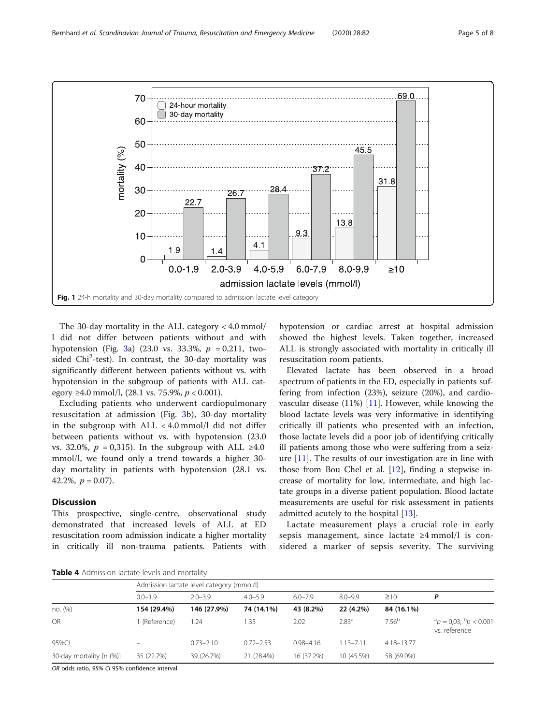<span id="page-4-0"></span>

The 30-day mortality in the ALL category < 4.0 mmol/ l did not differ between patients without and with hypotension (Fig. [3a](#page-6-0)) (23.0 vs. 33.3%,  $p = 0.211$ , twosided Chi<sup>2</sup>-test). In contrast, the 30-day mortality was significantly different between patients without vs. with hypotension in the subgroup of patients with ALL category  $\geq 4.0$  mmol/l, (28.1 vs. 75.9%,  $p < 0.001$ ).

Excluding patients who underwent cardiopulmonary resuscitation at admission (Fig. [3](#page-6-0)b), 30-day mortality in the subgroup with ALL < 4.0 mmol/l did not differ between patients without vs. with hypotension (23.0 vs. 32.0%,  $p = 0.315$ ). In the subgroup with ALL ≥4.0 mmol/l, we found only a trend towards a higher 30 day mortality in patients with hypotension (28.1 vs. 42.2%,  $p = 0.07$ ).

#### **Discussion**

This prospective, single-centre, observational study demonstrated that increased levels of ALL at ED resuscitation room admission indicate a higher mortality in critically ill non-trauma patients. Patients with hypotension or cardiac arrest at hospital admission showed the highest levels. Taken together, increased ALL is strongly associated with mortality in critically ill resuscitation room patients.

Elevated lactate has been observed in a broad spectrum of patients in the ED, especially in patients suffering from infection (23%), seizure (20%), and cardiovascular disease (11%) [\[11](#page-7-0)]. However, while knowing the blood lactate levels was very informative in identifying critically ill patients who presented with an infection, those lactate levels did a poor job of identifying critically ill patients among those who were suffering from a seizure  $[11]$  $[11]$  $[11]$ . The results of our investigation are in line with those from Bou Chel et al.  $[12]$  $[12]$ , finding a stepwise increase of mortality for low, intermediate, and high lactate groups in a diverse patient population. Blood lactate measurements are useful for risk assessment in patients admitted acutely to the hospital [[13\]](#page-7-0).

Lactate measurement plays a crucial role in early sepsis management, since lactate ≥4 mmol/l is considered a marker of sepsis severity. The surviving

Table 4 Admission lactate levels and mortality

|                          | Admission lactate level category (mmol/l) |               |               |               |                   |                   |                                                    |  |
|--------------------------|-------------------------------------------|---------------|---------------|---------------|-------------------|-------------------|----------------------------------------------------|--|
|                          | $0.0 - 1.9$                               | $2.0 - 3.9$   | $4.0 - 5.9$   | $6.0 - 7.9$   | $8.0 - 9.9$       | $\geq 10$         |                                                    |  |
| no. (%)                  | 154 (29.4%)                               | 146 (27.9%)   | 74 (14.1%)    | 43 (8.2%)     | 22 (4.2%)         | 84 (16.1%)        |                                                    |  |
| <b>OR</b>                | (Reference)                               | 1.24          | 1.35          | 2.02          | 2.83 <sup>a</sup> | 7.56 <sup>b</sup> | ${}^{a}p = 0.03; {}^{b}p < 0.001$<br>vs. reference |  |
| 95%CI                    |                                           | $0.73 - 2.10$ | $0.72 - 2.53$ | $0.98 - 4.16$ | $1.13 - 7.11$     | 4.18-13.77        |                                                    |  |
| 30-day mortality [n (%)] | 35 (22.7%)                                | 39 (26.7%)    | 21 (28.4%)    | 16 (37.2%)    | 10 (45.5%)        | 58 (69.0%)        |                                                    |  |

OR odds ratio, 95% CI 95% confidence interval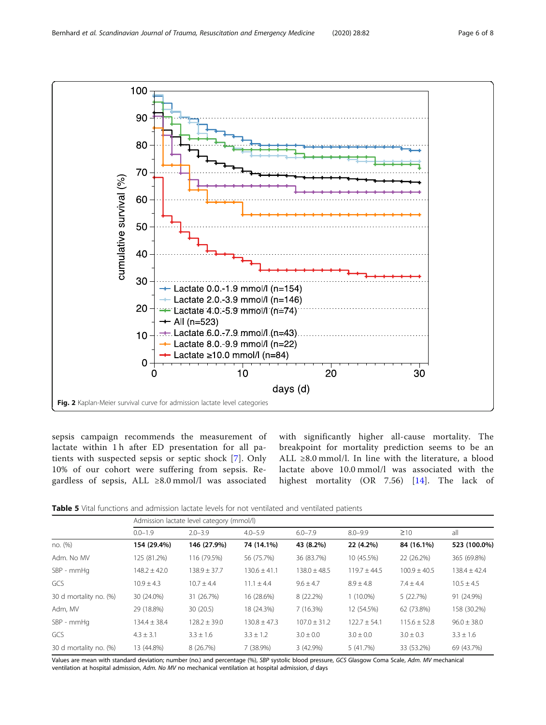<span id="page-5-0"></span>

sepsis campaign recommends the measurement of lactate within 1 h after ED presentation for all patients with suspected sepsis or septic shock [[7](#page-7-0)]. Only 10% of our cohort were suffering from sepsis. Regardless of sepsis, ALL  $\geq 8.0$  mmol/l was associated with significantly higher all-cause mortality. The breakpoint for mortality prediction seems to be an ALL ≥8.0 mmol/l. In line with the literature, a blood lactate above 10.0 mmol/l was associated with the highest mortality (OR 7.56) [[14](#page-7-0)]. The lack of

Table 5 Vital functions and admission lactate levels for not ventilated and ventilated patients

|                        | Admission lactate level category (mmol/l) |                  |                  |                  |                  |                  |                  |  |  |
|------------------------|-------------------------------------------|------------------|------------------|------------------|------------------|------------------|------------------|--|--|
|                        | $0.0 - 1.9$                               | $2.0 - 3.9$      | $4.0 - 5.9$      | $6.0 - 7.9$      | $8.0 - 9.9$      | $\geq 10$        | all              |  |  |
| no. (%)                | 154 (29.4%)                               | 146 (27.9%)      | 74 (14.1%)       | 43 (8.2%)        | 22 (4.2%)        | 84 (16.1%)       | 523 (100.0%)     |  |  |
| Adm. No MV             | 125 (81.2%)                               | 116 (79.5%)      | 56 (75.7%)       | 36 (83.7%)       | 10 (45.5%)       | 22 (26.2%)       | 365 (69.8%)      |  |  |
| SBP - mmHg             | $148.2 \pm 42.0$                          | $138.9 \pm 37.7$ | $130.6 \pm 41.1$ | $138.0 \pm 48.5$ | $119.7 \pm 44.5$ | $100.9 \pm 40.5$ | $138.4 \pm 42.4$ |  |  |
| <b>GCS</b>             | $10.9 \pm 4.3$                            | $10.7 \pm 4.4$   | $11.1 \pm 4.4$   | $9.6 \pm 4.7$    | $8.9 \pm 4.8$    | $7.4 \pm 4.4$    | $10.5 \pm 4.5$   |  |  |
| 30 d mortality no. (%) | 30 (24.0%)                                | 31 (26.7%)       | 16 (28.6%)       | 8 (22.2%)        | $1(10.0\%)$      | 5 (22.7%)        | 91 (24.9%)       |  |  |
| Adm, MV                | 29 (18.8%)                                | 30 (20.5)        | 18 (24.3%)       | 7(16.3%)         | 12 (54.5%)       | 62 (73.8%)       | 158 (30.2%)      |  |  |
| SBP - mmHq             | $134.4 \pm 38.4$                          | $128.2 \pm 39.0$ | $130.8 \pm 47.3$ | $107.0 \pm 31.2$ | $122.7 + 54.1$   | $115.6 \pm 52.8$ | $96.0 \pm 38.0$  |  |  |
| GCS                    | $4.3 \pm 3.1$                             | $3.3 \pm 1.6$    | $3.3 \pm 1.2$    | $3.0 \pm 0.0$    | $3.0 \pm 0.0$    | $3.0 \pm 0.3$    | $3.3 \pm 1.6$    |  |  |
| 30 d mortality no. (%) | 13 (44.8%)                                | 8 (26.7%)        | $7(38.9\%)$      | $3(42.9\%)$      | 5 (41.7%)        | 33 (53.2%)       | 69 (43.7%)       |  |  |

Values are mean with standard deviation; number (no.) and percentage (%), SBP systolic blood pressure, GCS Glasgow Coma Scale, Adm. MV mechanical ventilation at hospital admission, Adm. No MV no mechanical ventilation at hospital admission, d days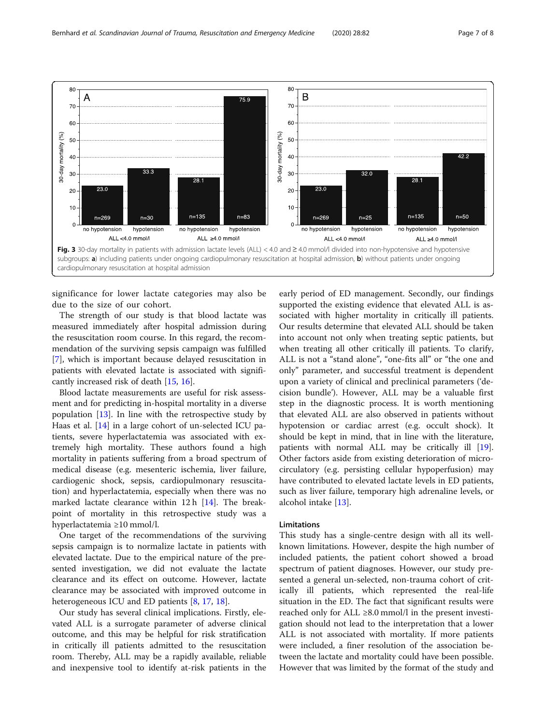<span id="page-6-0"></span>

significance for lower lactate categories may also be due to the size of our cohort.

The strength of our study is that blood lactate was measured immediately after hospital admission during the resuscitation room course. In this regard, the recommendation of the surviving sepsis campaign was fulfilled [[7\]](#page-7-0), which is important because delayed resuscitation in patients with elevated lactate is associated with significantly increased risk of death [[15](#page-7-0), [16](#page-7-0)].

Blood lactate measurements are useful for risk assessment and for predicting in-hospital mortality in a diverse population  $[13]$ . In line with the retrospective study by Haas et al. [[14\]](#page-7-0) in a large cohort of un-selected ICU patients, severe hyperlactatemia was associated with extremely high mortality. These authors found a high mortality in patients suffering from a broad spectrum of medical disease (e.g. mesenteric ischemia, liver failure, cardiogenic shock, sepsis, cardiopulmonary resuscitation) and hyperlactatemia, especially when there was no marked lactate clearance within 12 h [\[14\]](#page-7-0). The breakpoint of mortality in this retrospective study was a hyperlactatemia ≥10 mmol/l.

One target of the recommendations of the surviving sepsis campaign is to normalize lactate in patients with elevated lactate. Due to the empirical nature of the presented investigation, we did not evaluate the lactate clearance and its effect on outcome. However, lactate clearance may be associated with improved outcome in heterogeneous ICU and ED patients [[8,](#page-7-0) [17](#page-7-0), [18](#page-7-0)].

Our study has several clinical implications. Firstly, elevated ALL is a surrogate parameter of adverse clinical outcome, and this may be helpful for risk stratification in critically ill patients admitted to the resuscitation room. Thereby, ALL may be a rapidly available, reliable and inexpensive tool to identify at-risk patients in the

early period of ED management. Secondly, our findings supported the existing evidence that elevated ALL is associated with higher mortality in critically ill patients. Our results determine that elevated ALL should be taken into account not only when treating septic patients, but when treating all other critically ill patients. To clarify, ALL is not a "stand alone", "one-fits all" or "the one and only" parameter, and successful treatment is dependent upon a variety of clinical and preclinical parameters ('decision bundle'). However, ALL may be a valuable first step in the diagnostic process. It is worth mentioning that elevated ALL are also observed in patients without hypotension or cardiac arrest (e.g. occult shock). It should be kept in mind, that in line with the literature, patients with normal ALL may be critically ill [\[19](#page-7-0)]. Other factors aside from existing deterioration of microcirculatory (e.g. persisting cellular hypoperfusion) may have contributed to elevated lactate levels in ED patients, such as liver failure, temporary high adrenaline levels, or alcohol intake [\[13\]](#page-7-0).

# Limitations

This study has a single-centre design with all its wellknown limitations. However, despite the high number of included patients, the patient cohort showed a broad spectrum of patient diagnoses. However, our study presented a general un-selected, non-trauma cohort of critically ill patients, which represented the real-life situation in the ED. The fact that significant results were reached only for ALL  $\geq 8.0$  mmol/l in the present investigation should not lead to the interpretation that a lower ALL is not associated with mortality. If more patients were included, a finer resolution of the association between the lactate and mortality could have been possible. However that was limited by the format of the study and